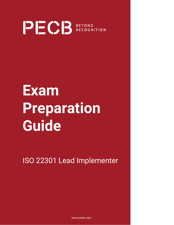

## **Exam Preparation Guide**

ISO 22301 Lead Implementer

www.pecb.com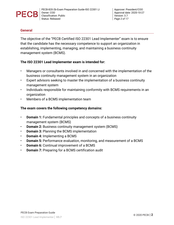

#### **General**

The objective of the "PECB Certified ISO 22301 Lead Implementer" exam is to ensure that the candidate has the necessary competence to support an organization in establishing, implementing, managing, and maintaining a business continuity management system (BCMS).

#### **The ISO 22301 Lead Implementer exam is intended for:**

- Managers or consultants involved in and concerned with the implementation of the business continuity management system in an organization
- Expert advisors seeking to master the implementation of a business continuity management system
- Individuals responsible for maintaining conformity with BCMS requirements in an organization
- Members of a BCMS implementation team

#### **The exam covers the following competency domains:**

- **Domain 1:** Fundamental principles and concepts of a business continuity management system (BCMS)
- **Domain 2:** Business continuity management system (BCMS)
- **Domain 3:** Planning the BCMS implementation
- **Domain 4:** Implementing a BCMS
- **Domain 5:** Performance evaluation, monitoring, and measurement of a BCMS
- **Domain 6:** Continual improvement of a BCMS
- **Domain 7:** Preparing for a BCMS certification audit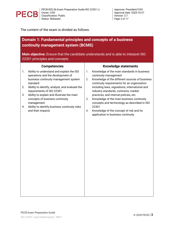

The content of the exam is divided as follows:

## **Domain 1: Fundamental principles and concepts of a business continuity management system (BCMS)**

**Main objective:** Ensure that the candidate understands and is able to interpret ISO 22301 principles and concepts

|    | <b>Competencies</b>                                                                                                     | <b>Knowledge statements</b> |                                                                                                                                        |  |  |
|----|-------------------------------------------------------------------------------------------------------------------------|-----------------------------|----------------------------------------------------------------------------------------------------------------------------------------|--|--|
| 1. | Ability to understand and explain the ISO<br>operations and the development of<br>business continuity management system | 1.<br>2.                    | Knowledge of the main standards in business<br>continuity management<br>Knowledge of the different sources of business                 |  |  |
| 2. | standard<br>Ability to identify, analyze, and evaluate the<br>requirements of ISO 22301                                 |                             | continuity requirements for an organization<br>including laws, regulations, international and<br>industry standards, contracts, market |  |  |
| 3. | Ability to explain and illustrate the main<br>concepts of business continuity<br>management                             | 3.                          | practices, and internal policies, etc.<br>Knowledge of the main business continuity<br>concepts and terminology as described in ISO    |  |  |
| 4. | Ability to identify business continuity risks<br>and their impacts                                                      | 4.                          | 22301<br>Knowledge of the concept of risk and its<br>application in business continuity                                                |  |  |
|    |                                                                                                                         |                             |                                                                                                                                        |  |  |
|    |                                                                                                                         |                             |                                                                                                                                        |  |  |
|    |                                                                                                                         |                             |                                                                                                                                        |  |  |
|    |                                                                                                                         |                             |                                                                                                                                        |  |  |
|    |                                                                                                                         |                             |                                                                                                                                        |  |  |
|    |                                                                                                                         |                             |                                                                                                                                        |  |  |
|    |                                                                                                                         |                             |                                                                                                                                        |  |  |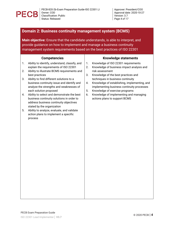

Approver: President/COO Approval date: 2020-10-27 Version: 3.7 *Page 4 of 17*

## **Domain 2: Business continuity management system (BCMS)**

**Main objective:** Ensure that the candidate understands, is able to interpret, and provide guidance on how to implement and manage a business continuity management system requirements based on the best practices of ISO 22301

| management system requirements based on the best practices of ISO 22301 |                                                                                                                                                                                    |                |                                                                                                                                                                                 |  |  |
|-------------------------------------------------------------------------|------------------------------------------------------------------------------------------------------------------------------------------------------------------------------------|----------------|---------------------------------------------------------------------------------------------------------------------------------------------------------------------------------|--|--|
|                                                                         | <b>Competencies</b>                                                                                                                                                                |                | <b>Knowledge statements</b>                                                                                                                                                     |  |  |
| 1.<br>2.<br>best practices<br>3.                                        | Ability to identify, understand, classify, and<br>explain the requirements of ISO 22301<br>Ability to illustrate BCMS requirements and<br>Ability to find different solutions to a | 1.<br>2.<br>3. | Knowledge of ISO 22301 requirements<br>Knowledge of business impact analysis and<br>risk assessment<br>Knowledge of the best practices and<br>techniques in business continuity |  |  |
|                                                                         | business continuity issue and identify and<br>analyze the strengths and weaknesses of<br>each solution proposed                                                                    | 4.<br>5.       | Knowledge of establishing, implementing, and<br>implementing business continuity processes<br>Knowledge of exercise programs                                                    |  |  |
| 4.                                                                      | Ability to select and demonstrate the best<br>business continuity solutions in order to<br>address business continuity objectives<br>stated by the organization                    | 6.             | Knowledge of implementing and managing<br>actions plans to support BCMS                                                                                                         |  |  |
| 5.<br>process                                                           | Ability to analyze, evaluate, and validate<br>action plans to implement a specific                                                                                                 |                |                                                                                                                                                                                 |  |  |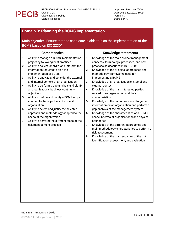

## **Domain 3: Planning the BCMS implementation**

| Main objective: Ensure that the candidate is able to plan the implementation of the |  |
|-------------------------------------------------------------------------------------|--|
| BCMS based on ISO 22301                                                             |  |

|    | <b>Competencies</b>                                                                                                |    | <b>Knowledge statements</b>                                                                                                          |
|----|--------------------------------------------------------------------------------------------------------------------|----|--------------------------------------------------------------------------------------------------------------------------------------|
| 1. | Ability to manage a BCMS implementation<br>project by following best practices                                     | 1. | Knowledge of the main project management<br>concepts, terminology, processes, and best                                               |
| 2. | Ability to collect, analyze, and interpret the<br>information required to plan the<br>implementation of BCMS       | 2. | practices as described in ISO 10006<br>Knowledge of the principal approaches and<br>methodology frameworks used for                  |
| 3. | Ability to analyze and consider the external<br>and internal context of an organization                            | 3. | implementing a BCMS<br>Knowledge of an organization's internal and                                                                   |
| 4. | Ability to perform a gap analysis and clarify<br>an organization's business continuity<br>objectives               | 4. | external context<br>Knowledge of the main interested parties<br>related to an organization and their                                 |
| 5. | Ability to define and justify a BCMS scope<br>adapted to the objectives of a specific<br>organization              | 5. | characteristics<br>Knowledge of the techniques used to gather<br>information on an organization and perform a                        |
| 6. | Ability to select and justify the selected<br>approach and methodology adapted to the<br>needs of the organization | 6. | gap analysis of the management system<br>Knowledge of the characteristics of a BCMS<br>scope in terms of organizational and physical |
| 7. | Ability to perform the different steps of the                                                                      |    | boundaries                                                                                                                           |
|    | risk management process                                                                                            | 7. | Knowledge of the different approaches and<br>main methodology characteristics to perform a<br>risk assessment                        |
|    |                                                                                                                    | 8. | Knowledge of the main activities of the risk<br>identification, assessment, and evaluation                                           |
|    |                                                                                                                    |    |                                                                                                                                      |
|    |                                                                                                                    |    |                                                                                                                                      |
|    |                                                                                                                    |    |                                                                                                                                      |
|    |                                                                                                                    |    |                                                                                                                                      |
|    |                                                                                                                    |    |                                                                                                                                      |
|    |                                                                                                                    |    |                                                                                                                                      |
|    |                                                                                                                    |    |                                                                                                                                      |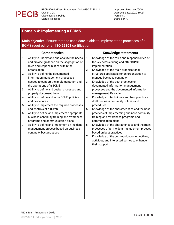

## **Domain 4: Implementing a BCMS**

**Main objective:** Ensure that the candidate is able to implement the processes of a BCMS required for an **ISO 22301** certification

|    | <b>Competencies</b>                                                                                                                                | <b>Knowledge statements</b> |                                                                                                                                                       |  |  |  |
|----|----------------------------------------------------------------------------------------------------------------------------------------------------|-----------------------------|-------------------------------------------------------------------------------------------------------------------------------------------------------|--|--|--|
| 1. | Ability to understand and analyze the needs<br>and provide guidance on the segregation of<br>roles and responsibilities within the<br>organization | 1.<br>2.                    | Knowledge of the roles and responsibilities of<br>the key actors during and after BCMS<br>implementation<br>Knowledge of the main organizational      |  |  |  |
| 2. | Ability to define the documented<br>information management processes<br>needed to support the implementation and<br>the operations of a BCMS       | 3.                          | structures applicable for an organization to<br>manage business continuity<br>Knowledge of the best practices on<br>documented information management |  |  |  |
| 3. | Ability to define and design processes and<br>properly document them                                                                               |                             | processes and the documented information<br>management life cycle                                                                                     |  |  |  |
| 4. | Ability to define and write BCMS policies<br>and procedures                                                                                        | 4.                          | Knowledge of techniques and best practices to<br>draft business continuity policies and                                                               |  |  |  |
| 5. | Ability to implement the required processes<br>and controls of a BCMS                                                                              | 5.                          | procedures<br>Knowledge of the characteristics and the best                                                                                           |  |  |  |
| 6. | Ability to define and implement appropriate<br>business continuity training and awareness<br>programs and communication plans                      |                             | practices of implementing business continuity<br>training and awareness programs and<br>communication plans                                           |  |  |  |
| 7. | Ability to define and implement an incident<br>management process based on business                                                                | 6.                          | Knowledge of the characteristics and the main<br>processes of an incident management process                                                          |  |  |  |
|    | continuity best practices                                                                                                                          |                             | based on best practices                                                                                                                               |  |  |  |
|    |                                                                                                                                                    | 7.                          | Knowledge of the communication objectives,<br>activities, and interested parties to enhance<br>their support                                          |  |  |  |
|    |                                                                                                                                                    |                             |                                                                                                                                                       |  |  |  |
|    |                                                                                                                                                    |                             |                                                                                                                                                       |  |  |  |
|    |                                                                                                                                                    |                             |                                                                                                                                                       |  |  |  |
|    |                                                                                                                                                    |                             |                                                                                                                                                       |  |  |  |
|    |                                                                                                                                                    |                             |                                                                                                                                                       |  |  |  |
|    |                                                                                                                                                    |                             |                                                                                                                                                       |  |  |  |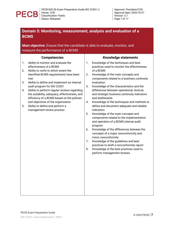

## **Domain 5: Monitoring, measurement, analysis and evaluation of a BCMS**

### **Main objective:** Ensure that the candidate is able to evaluate, monitor, and measure the performance of a BCMS

|          | <b>Competencies</b>                                                                                                                                                                                                       |    | <b>Knowledge statements</b>                                                                                                                                            |
|----------|---------------------------------------------------------------------------------------------------------------------------------------------------------------------------------------------------------------------------|----|------------------------------------------------------------------------------------------------------------------------------------------------------------------------|
| 1.<br>2. | Ability to monitor and evaluate the<br>effectiveness of a BCMS<br>Ability to verify to which extent the                                                                                                                   | 1. | Knowledge of the techniques and best<br>practices used to monitor the effectiveness<br>of a BCMS                                                                       |
|          | identified BCMS requirements have been<br>met                                                                                                                                                                             | 2. | Knowledge of the main concepts and<br>components related to a business continuity                                                                                      |
| 3.<br>4. | Ability to define and implement an internal<br>audit program for ISO 22301<br>Ability to perform regular reviews regarding<br>the suitability, adequacy, effectiveness, and<br>efficiency of a BCMS based on the policies | 3. | evaluation<br>Knowledge of the characteristics and the<br>differences between operational, tactical,<br>and strategic business continuity indicators<br>and dashboards |
| 5.       | and objectives of the organization<br>Ability to define and perform a<br>management review process                                                                                                                        | 4. | Knowledge of the techniques and methods to<br>define and document adequate and reliable<br>indicators                                                                  |
|          |                                                                                                                                                                                                                           | 5. | Knowledge of the main concepts and<br>components related to the implementation<br>and operation of a BCMS internal audit<br>program                                    |
|          |                                                                                                                                                                                                                           | 6. | Knowledge of the differences between the<br>concepts of a major nonconformity and<br>minor nonconformity                                                               |
|          |                                                                                                                                                                                                                           | 7. | Knowledge of the guidelines and best<br>practices to draft a nonconformity report                                                                                      |
|          |                                                                                                                                                                                                                           | 8. | Knowledge of the best practices used to<br>perform management reviews                                                                                                  |
|          |                                                                                                                                                                                                                           |    |                                                                                                                                                                        |
|          |                                                                                                                                                                                                                           |    |                                                                                                                                                                        |
|          |                                                                                                                                                                                                                           |    |                                                                                                                                                                        |
|          |                                                                                                                                                                                                                           |    |                                                                                                                                                                        |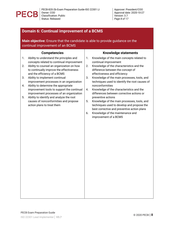

## **Domain 6: Continual improvement of a BCMS Main objective:** Ensure that the candidate is able to provide guidance on the continual improvement of an BCMS **Competencies** 1. Ability to understand the principles and concepts related to continual improvement 2. Ability to counsel an organization on how to continually improve the effectiveness and the efficiency of a BCMS 3. Ability to implement continual improvement processes in an organization 4. Ability to determine the appropriate improvement tools to support the continual improvement processes of an organization 5. Ability to identify and analyze the root causes of nonconformities and propose action plans to treat them **Knowledge statements** 1. Knowledge of the main concepts related to continual improvement 2. Knowledge of the characteristics and the difference between the concept of effectiveness and efficiency 3. Knowledge of the main processes, tools, and techniques used to identify the root causes of nonconformities 4. Knowledge of the characteristics and the differences between corrective actions or preventive actions 5. Knowledge of the main processes, tools, and techniques used to develop and propose the best corrective and preventive action plans 6. Knowledge of the maintenance and improvement of a BCMS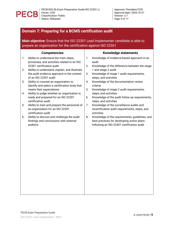

Approver: President/COO Approval date: 2020-10-27 Version: 3.7 *Page 9 of 17*

## **Domain 7: Preparing for a BCMS certification audit**

**Main objective:** Ensure that the ISO 22301 Lead Implementer candidate is able to prepare an organization for the certification against ISO 22301

|    | <b>Competencies</b>                                                                                               | <b>Knowledge statements</b> |                                                                                                          |  |  |  |
|----|-------------------------------------------------------------------------------------------------------------------|-----------------------------|----------------------------------------------------------------------------------------------------------|--|--|--|
| 1. | Ability to understand the main steps,<br>processes, and activities related to an ISO<br>22301 certification audit | 1.<br>2.                    | Knowledge of evidence-based approach in an<br>audit<br>Knowledge of the difference between the stage     |  |  |  |
| 2. | Ability to understand, explain, and illustrate                                                                    |                             | 1 and stage 2 audit                                                                                      |  |  |  |
|    | the audit evidence approach in the context<br>of an ISO 22301 audit                                               | 3.                          | Knowledge of stage 1 audit requirements,<br>steps, and activities                                        |  |  |  |
| 3. | Ability to counsel an organization to<br>identify and select a certification body that                            | 4.                          | Knowledge of the documentation review<br>criteria                                                        |  |  |  |
| 4. | meets their expectations<br>Ability to judge whether an organization is                                           | 5.                          | Knowledge of stage 2 audit requirements,<br>steps, and activities                                        |  |  |  |
|    | ready and prepared for an ISO 22301<br>certification audit                                                        | 6.                          | Knowledge of the audit follow-up requirements,<br>steps, and activities                                  |  |  |  |
| 5. | Ability to train and prepare the personnel of<br>an organization for an ISO 22301<br>certification audit          | 7.                          | Knowledge of the surveillance audits and<br>recertification audit requirements, steps, and<br>activities |  |  |  |
| 6. | Ability to discuss and challenge the audit<br>findings and conclusions with external                              | 8.                          | Knowledge of the requirements, guidelines, and<br>best practices for developing action plans             |  |  |  |
|    | auditors                                                                                                          |                             | following an ISO 22301 certification audit                                                               |  |  |  |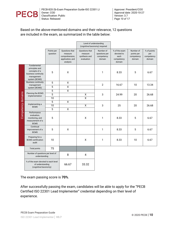

Based on the above-mentioned domains and their relevance, 12 questions are included in the exam, as summarized in the table below:

|                    |                                                                                                      |                        |                                                                             | Level of understanding<br>(cognitive/taxonomy) required  |                                                    |                                                             |                                                 |                                            |
|--------------------|------------------------------------------------------------------------------------------------------|------------------------|-----------------------------------------------------------------------------|----------------------------------------------------------|----------------------------------------------------|-------------------------------------------------------------|-------------------------------------------------|--------------------------------------------|
|                    |                                                                                                      | Points per<br>question | Questions that<br>measure<br>comprehension,<br>application, and<br>analysis | Questions that<br>measure<br>synthesis and<br>evaluation | Number of<br>questions per<br>competency<br>domain | % of the exam<br>devoted to<br>each<br>competency<br>domain | Number of<br>points per<br>competency<br>domain | % of points<br>per<br>competency<br>domain |
|                    | Fundamental<br>principles and<br>concepts of a<br>business continuity<br>management<br>system (BCMS) | 5                      | Χ                                                                           |                                                          | 1                                                  | 8.33                                                        | 5                                               | 6.67                                       |
|                    | <b>Business continuity</b><br>management                                                             | 5                      | $\mathsf{X}$                                                                |                                                          | $\overline{2}$                                     | 16.67                                                       | 10                                              | 13.34                                      |
|                    | system (BCMS)                                                                                        | 5                      | X                                                                           |                                                          |                                                    |                                                             |                                                 |                                            |
|                    | Planning the BCMS                                                                                    | 5<br>$\overline{5}$    | $\overline{\mathsf{x}}$                                                     |                                                          |                                                    | 24.99                                                       | 20                                              | 26.68                                      |
|                    | implementation                                                                                       | 10                     |                                                                             | $\overline{\mathsf{x}}$<br>$\overline{\mathsf{x}}$       | 3                                                  |                                                             |                                                 |                                            |
|                    | Implementing a<br><b>BCMS</b>                                                                        | $\overline{5}$         | $\overline{\mathsf{x}}$                                                     |                                                          |                                                    |                                                             |                                                 |                                            |
|                    |                                                                                                      | $\overline{10}$        |                                                                             | $\overline{\mathsf{x}}$                                  | 3                                                  | 25                                                          | 20                                              | 26.68                                      |
| Competency domains |                                                                                                      | $\overline{5}$         | $\overline{X}$                                                              |                                                          |                                                    |                                                             |                                                 |                                            |
|                    | Performance<br>evaluation,<br>monitoring, and<br>measurement of a<br><b>BCMS</b>                     | 5                      |                                                                             | X                                                        | 1                                                  | 8.33                                                        | 5                                               | 6.67                                       |
|                    | Continual<br>improvement of a<br><b>BCMS</b>                                                         | 5                      | X                                                                           |                                                          | $\mathbf{1}$                                       | 8.33                                                        | 5                                               | 6.67                                       |
|                    | Preparing for a<br><b>BCMS</b> certification<br>audit                                                | 10                     |                                                                             | X                                                        | $\mathbf{1}$                                       | 8.33                                                        | 10                                              | 6.67                                       |
|                    | <b>Total points</b>                                                                                  | 75                     |                                                                             |                                                          |                                                    |                                                             |                                                 |                                            |
|                    | Number of questions per level of<br>understanding                                                    |                        | 8                                                                           | 4                                                        |                                                    |                                                             |                                                 |                                            |
|                    | % of the exam devoted to each level<br>of understanding<br>(cognitive/taxonomy)                      |                        | 66.67                                                                       | 33.32                                                    |                                                    |                                                             |                                                 |                                            |

The exam passing score is **70%**.

After successfully passing the exam, candidates will be able to apply for the "PECB Certified ISO 22301 Lead Implementer" credential depending on their level of experience.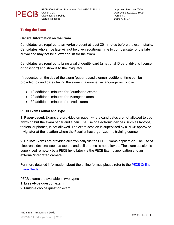

Approver: President/COO Approval date: 2020-10-27 Version: 3.7 *Page 11 of 17*

#### **Taking the Exam**

#### **General Information on the Exam**

Candidates are required to arrive/be present at least 30 minutes before the exam starts. Candidates who arrive late will not be given additional time to compensate for the late arrival and may not be allowed to sit for the exam.

Candidates are required to bring a valid identity card (a national ID card, driver's license, or passport) and show it to the invigilator.

If requested on the day of the exam (paper-based exams), additional time can be provided to candidates taking the exam in a non-native language, as follows:

- 10 additional minutes for Foundation exams
- 20 additional minutes for Manager exams
- 30 additional minutes for Lead exams

#### **PECB Exam Format and Type**

**1. Paper-based:** Exams are provided on paper, where candidates are not allowed to use anything but the exam paper and a pen. The use of electronic devices, such as laptops, tablets, or phones, is not allowed. The exam session is supervised by a PECB approved Invigilator at the location where the Reseller has organized the training course.

**2. Online**: Exams are provided electronically via the PECB Exams application. The use of electronic devices, such as tablets and cell phones, is not allowed. The exam session is supervised remotely by a PECB Invigilator via the PECB Exams application and an external/integrated camera.

For more detailed information about the online format, please refer to the [PECB Online](https://pecb.com/help/wp-content/uploads/2018/06/Preparing-for-your-PECB-Online-Exam-Guide.pdf)  [Exam Guide](https://pecb.com/help/wp-content/uploads/2018/06/Preparing-for-your-PECB-Online-Exam-Guide.pdf).

PECB exams are available in two types:

- 1. Essay-type question exam
- 2. Multiple-choice question exam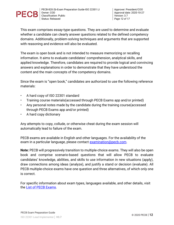

This exam comprises essay-type questions. They are used to determine and evaluate whether a candidate can clearly answer questions related to the defined competency domains. Additionally, problem-solving techniques and arguments that are supported with reasoning and evidence will also be evaluated.

The exam is open book and is not intended to measure memorizing or recalling information. It aims to evaluate candidates' comprehension, analytical skills, and applied knowledge. Therefore, candidates are required to provide logical and convincing answers and explanations in order to demonstrate that they have understood the content and the main concepts of the competency domains.

Since the exam is "open book," candidates are authorized to use the following reference materials:

- A hard copy of ISO 22301 standard
- Training course materials(accessed through PECB Exams app and/or printed)
- Any personal notes made by the candidate during the training course(accessed through PECB Exams app and/or printed)
- A hard copy dictionary

Any attempts to copy, collude, or otherwise cheat during the exam session will automatically lead to failure of the exam.

PECB exams are available in English and other languages. For the availability of the exam in a particular language, please contact [examination@pecb.com.](mailto:examination@pecb.com)

**Note:** PECB will progressively transition to multiple-choice exams. They will also be open book and comprise scenario-based questions that will allow PECB to evaluate candidates' knowledge, abilities, and skills to use information in new situations (apply), draw connections among ideas (analyze), and justify a stand or decision (evaluate). All PECB multiple-choice exams have one question and three alternatives, of which only one is correct.

For specific information about exam types, languages available, and other details, visit the [List of PECB Exams.](https://pecb.com/help/index.php/list-of-pecb-exams/)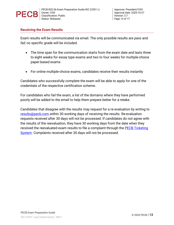

#### **Receiving the Exam Results**

Exam results will be communicated via email. The only possible results are *pass* and *fail;* no specific grade will be included.

- The time span for the communication starts from the exam date and lasts three to eight weeks for essay type exams and two to four weeks for multiple-choice paper-based exams
- For online multiple-choice exams, candidates receive their results instantly

Candidates who successfully complete the exam will be able to apply for one of the credentials of the respective certification scheme.

For candidates who fail the exam, a list of the domains where they have performed poorly will be added to the email to help them prepare better for a retake.

Candidates that disagree with the results may request for a re-evaluation by writing to [results@pecb.com](mailto:results@pecb.com) within 30 working days of receiving the results. Re-evaluation requests received after 30 days will not be processed. If candidates do not agree with the results of the reevaluation, they have 30 working days from the date when they received the reevaluated exam results to file a complaint through the **PECB** Ticketing [System.](https://pecb.com/en/ticketInfo/support#support_tab_1) Complaints received after 30 days will not be processed.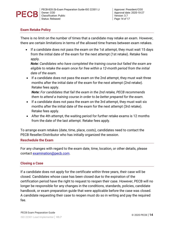

#### **Exam Retake Policy**

There is no limit on the number of times that a candidate may retake an exam. However, there are certain limitations in terms of the allowed time frames between exam retakes.

 If a candidate does not pass the exam on the 1st attempt, they must wait 15 days from the initial date of the exam for the next attempt (1st retake). Retake fees apply.

*Note: Candidates who have completed the training course but failed the exam are eligible to retake the exam once for free within a 12-month period from the initial date of the exam.*

• If a candidate does not pass the exam on the 2nd attempt, they must wait three months after the initial date of the exam for the next attempt (2nd retake). Retake fees apply.

*Note: For candidates that fail the exam in the 2nd retake, PECB recommends them to attend a training course in order to be better prepared for the exam.*

- If a candidate does not pass the exam on the 3rd attempt, they must wait six months after the initial date of the exam for the next attempt (3rd retake). Retake fees apply.
- After the 4th attempt, the waiting period for further retake exams is 12 months from the date of the last attempt. Retake fees apply.

To arrange exam retakes (date, time, place, costs), candidates need to contact the PECB Reseller/Distributor who has initially organized the session.

#### **Reschedule the Exam**

For any changes with regard to the exam date, time, location, or other details, please contact [examination@pecb.com.](mailto:examination@pecb.com)

#### **Closing a Case**

If a candidate does not apply for the certificate within three years, their case will be closed. Candidates whose case has been closed due to the expiration of the certification period have the right to request to reopen their case. However, PECB will no longer be responsible for any changes in the conditions, standards, policies, candidate handbook, or exam preparation guide that were applicable before the case was closed. A candidate requesting their case to reopen must do so in writing and pay the required fee.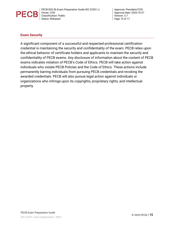

Approver: President/COO Approval date: 2020-10-27 Version: 3.7 *Page 15 of 17*

#### **Exam Security**

A significant component of a successful and respected professional certification credential is maintaining the security and confidentiality of the exam. PECB relies upon the ethical behavior of certificate holders and applicants to maintain the security and confidentiality of PECB exams. Any disclosure of information about the content of PECB exams indicates violation of PECB's Code of Ethics. PECB will take action against individuals who violate PECB Policies and the Code of Ethics. These actions include permanently barring individuals from pursuing PECB credentials and revoking the awarded credentials. PECB will also pursue legal action against individuals or organizations who infringe upon its copyrights, proprietary rights, and intellectual property.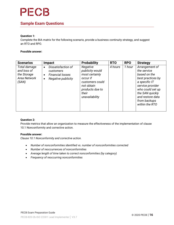

### **Sample Exam Questions**

#### **Question 1:**

Complete the BIA matrix for the following scenario, provide a business continuity strategy, and suggest an RTO and RPO.

#### **Possible answer:**

| <b>Scenarios</b>                                                    | <b>Impact</b>                                                                                                   | <b>Probability</b>                                                                                                                       | <b>RTO</b> | <b>RPO</b> | <b>Strategy</b>                                                                                                                                                                                      |
|---------------------------------------------------------------------|-----------------------------------------------------------------------------------------------------------------|------------------------------------------------------------------------------------------------------------------------------------------|------------|------------|------------------------------------------------------------------------------------------------------------------------------------------------------------------------------------------------------|
| Total damage<br>and loss of<br>the Storage<br>Area Network<br>(SAN) | Dissatisfaction of<br>$\bullet$<br>customers<br><b>Financial losses</b><br>$\bullet$<br>Negative publicity<br>٠ | Negative<br>publicity would<br>most certainly<br>occur if<br>customers could<br>not obtain<br>products due to<br>their<br>unavailability | 4 hours    | 1 hour     | Arrangement of<br>the service<br>based on the<br>best practices by<br>a specific IT<br>service provider<br>who could set up<br>the SAN quickly<br>and restore data<br>from backups<br>within the RTO |

#### **Question 2:**

Provide metrics that allow an organization to measure the effectiveness of the implementation of clause 10.1 Nonconformity and corrective action.

#### **Possible answer:**

*Clause 10.1 Nonconformity and corrective action.*

- *Number of nonconformities identified vs. number of nonconformities corrected*
- *Number of reoccurrences of nonconformities*
- *Average length of time taken to correct nonconformities (by category)*
- *Frequency of reoccurring nonconformities*